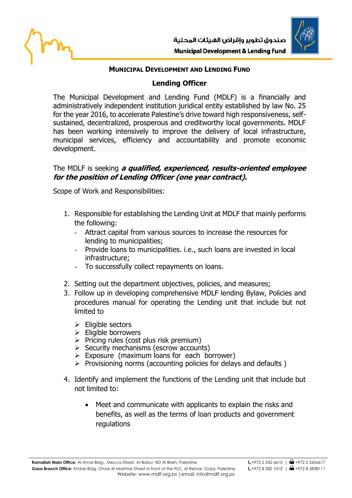

## **MUNICIPAL DEVELOPMENT AND LENDING FUND**

## **Lending Officer**

The Municipal Development and Lending Fund (MDLF) is a financially and administratively independent institution juridical entity established by law No. 25 for the year 2016, to accelerate Palestine's drive toward high responsiveness, selfsustained, decentralized, prosperous and creditworthy local governments. MDLF has been working intensively to improve the delivery of local infrastructure, municipal services, efficiency and accountability and promote economic development.

## The MDLF is seeking **a qualified, experienced, results-oriented employee for the position of Lending Officer (one year contract).**

Scope of Work and Responsibilities:

- 1. Responsible for establishing the Lending Unit at MDLF that mainly performs the following:
	- Attract capital from various sources to increase the resources for lending to municipalities;
	- Provide loans to municipalities. i.e., such loans are invested in local infrastructure;
	- To successfully collect repayments on loans.
- 2. Setting out the department objectives, policies, and measures;
- 3. Follow up in developing comprehensive MDLF lending Bylaw, Policies and procedures manual for operating the Lending unit that include but not limited to
	- ➢ Eligible sectors
	- ➢ Eligible borrowers
	- $\triangleright$  Pricing rules (cost plus risk premium)
	- $\triangleright$  Security mechanisms (escrow accounts)
	- $\triangleright$  Exposure (maximum loans for each borrower)
	- ➢ Provisioning norms (accounting policies for delays and defaults )
- 4. Identify and implement the functions of the Lending unit that include but not limited to:
	- Meet and communicate with applicants to explain the risks and benefits, as well as the terms of loan products and government regulations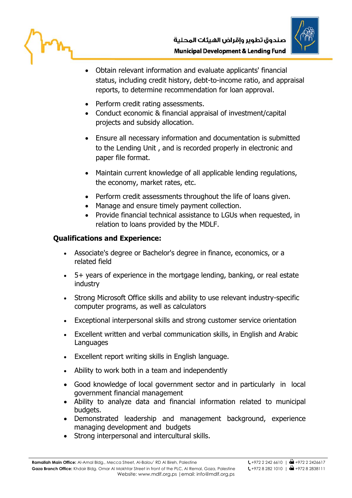

- Obtain relevant information and evaluate applicants' financial status, including credit history, debt-to-income ratio, and appraisal reports, to determine recommendation for loan approval.
- Perform credit rating assessments.
- Conduct economic & financial appraisal of investment/capital projects and subsidy allocation.
- Ensure all necessary information and documentation is submitted to the Lending Unit , and is recorded properly in electronic and paper file format.
- Maintain current knowledge of all applicable lending regulations, the economy, market rates, etc.
- Perform credit assessments throughout the life of loans given.
- Manage and ensure timely payment collection.
- Provide financial technical assistance to LGUs when requested, in relation to loans provided by the MDLF.

## **Qualifications and Experience:**

- Associate's degree or Bachelor's degree in finance, economics, or a related field
- 5+ years of experience in the mortgage lending, banking, or real estate industry
- Strong Microsoft Office skills and ability to use relevant industry-specific computer programs, as well as calculators
- Exceptional interpersonal skills and strong customer service orientation
- Excellent written and verbal communication skills, in English and Arabic Languages
- Excellent report writing skills in English language.
- Ability to work both in a team and independently
- Good knowledge of local government sector and in particularly in local government financial management
- Ability to analyze data and financial information related to municipal budgets.
- Demonstrated leadership and management background, experience managing development and budgets
- Strong interpersonal and intercultural skills.